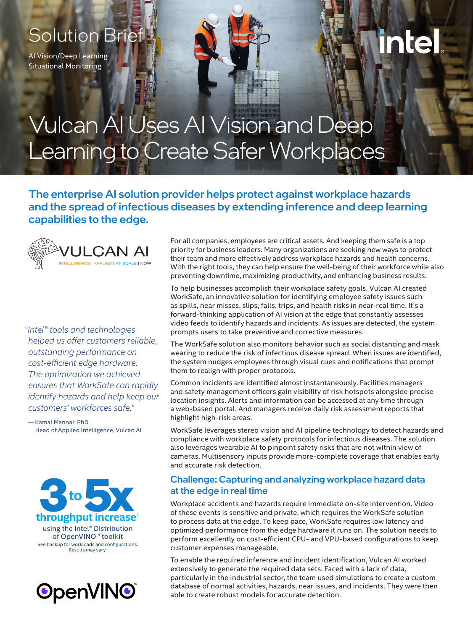### Solution Brief

AI Vision/Deep Learning Situational Monitoring

# inte

## Vulcan AI Uses AI Vision and Deep Learning to Create Safer Workplaces

The enterprise AI solution provider helps protect against workplace hazards and the spread of infectious diseases by extending inference and deep learning capabilities to the edge.



*"Intel® tools and technologies helped us offer customers reliable, outstanding performance on cost-efficient edge hardware. The optimization we achieved ensures that WorkSafe can rapidly identify hazards and help keep our customers' workforces safe."*

— Kamal Mannar, PhD Head of Applied Intelligence, Vulcan AI





For all companies, employees are critical assets. And keeping them safe is a top priority for business leaders. Many organizations are seeking new ways to protect their team and more effectively address workplace hazards and health concerns. With the right tools, they can help ensure the well-being of their workforce while also preventing downtime, maximizing productivity, and enhancing business results.

To help businesses accomplish their workplace safety goals, Vulcan AI created WorkSafe, an innovative solution for identifying employee safety issues such as spills, near misses, slips, falls, trips, and health risks in near-real time. It's a forward-thinking application of AI vision at the edge that constantly assesses video feeds to identify hazards and incidents. As issues are detected, the system prompts users to take preventive and corrective measures.

The WorkSafe solution also monitors behavior such as social distancing and mask wearing to reduce the risk of infectious disease spread. When issues are identified, the system nudges employees through visual cues and notifications that prompt them to realign with proper protocols.

Common incidents are identified almost instantaneously. Facilities managers and safety management officers gain visibility of risk hotspots alongside precise location insights. Alerts and information can be accessed at any time through a web-based portal. And managers receive daily risk assessment reports that highlight high-risk areas.

WorkSafe leverages stereo vision and AI pipeline technology to detect hazards and compliance with workplace safety protocols for infectious diseases. The solution also leverages wearable AI to pinpoint safety risks that are not within view of cameras. Multisensory inputs provide more-complete coverage that enables early and accurate risk detection.

#### Challenge: Capturing and analyzing workplace hazard data at the edge in real time

Workplace accidents and hazards require immediate on-site intervention. Video of these events is sensitive and private, which requires the WorkSafe solution to process data at the edge. To keep pace, WorkSafe requires low latency and optimized performance from the edge hardware it runs on. The solution needs to perform excellently on cost-efficient CPU- and VPU-based configurations to keep customer expenses manageable.

To enable the required inference and incident identification, Vulcan AI worked extensively to generate the required data sets. Faced with a lack of data, particularly in the industrial sector, the team used simulations to create a custom database of normal activities, hazards, near issues, and incidents. They were then able to create robust models for accurate detection.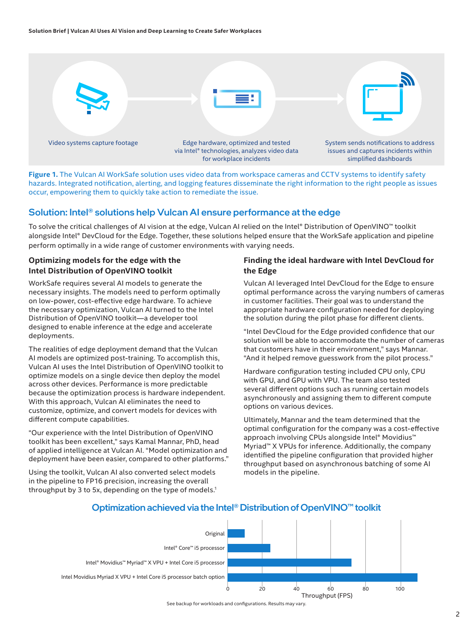

**Figure 1.** The Vulcan AI WorkSafe solution uses video data from workspace cameras and CCTV systems to identify safety hazards. Integrated notification, alerting, and logging features disseminate the right information to the right people as issues occur, empowering them to quickly take action to remediate the issue.

#### Solution: Intel® solutions help Vulcan AI ensure performance at the edge

To solve the critical challenges of AI vision at the edge, Vulcan AI relied on the Intel® Distribution of OpenVINO™ toolkit alongside Intel® DevCloud for the Edge. Together, these solutions helped ensure that the WorkSafe application and pipeline perform optimally in a wide range of customer environments with varying needs.

#### **Optimizing models for the edge with the Intel Distribution of OpenVINO toolkit**

WorkSafe requires several AI models to generate the necessary insights. The models need to perform optimally on low-power, cost-effective edge hardware. To achieve the necessary optimization, Vulcan AI turned to the Intel Distribution of OpenVINO toolkit—a developer tool designed to enable inference at the edge and accelerate deployments.

The realities of edge deployment demand that the Vulcan AI models are optimized post-training. To accomplish this, Vulcan AI uses the Intel Distribution of OpenVINO toolkit to optimize models on a single device then deploy the model across other devices. Performance is more predictable because the optimization process is hardware independent. With this approach, Vulcan AI eliminates the need to customize, optimize, and convert models for devices with different compute capabilities.

"Our experience with the Intel Distribution of OpenVINO toolkit has been excellent," says Kamal Mannar, PhD, head of applied intelligence at Vulcan AI. "Model optimization and deployment have been easier, compared to other platforms."

Using the toolkit, Vulcan AI also converted select models in the pipeline to FP16 precision, increasing the overall throughput by 3 to 5x, depending on the type of models.<sup>1</sup>

#### **Finding the ideal hardware with Intel DevCloud for the Edge**

Vulcan AI leveraged Intel DevCloud for the Edge to ensure optimal performance across the varying numbers of cameras in customer facilities. Their goal was to understand the appropriate hardware configuration needed for deploying the solution during the pilot phase for different clients.

"Intel DevCloud for the Edge provided confidence that our solution will be able to accommodate the number of cameras that customers have in their environment," says Mannar. "And it helped remove guesswork from the pilot process."

Hardware configuration testing included CPU only, CPU with GPU, and GPU with VPU. The team also tested several different options such as running certain models asynchronously and assigning them to different compute options on various devices.

Ultimately, Mannar and the team determined that the optimal configuration for the company was a cost-effective approach involving CPUs alongside Intel® Movidius™ Myriad™ X VPUs for inference. Additionally, the company identified the pipeline configuration that provided higher throughput based on asynchronous batching of some AI models in the pipeline.



#### Optimization achieved via the Intel<sup>®</sup> Distribution of OpenVINO<sup>™</sup> toolkit